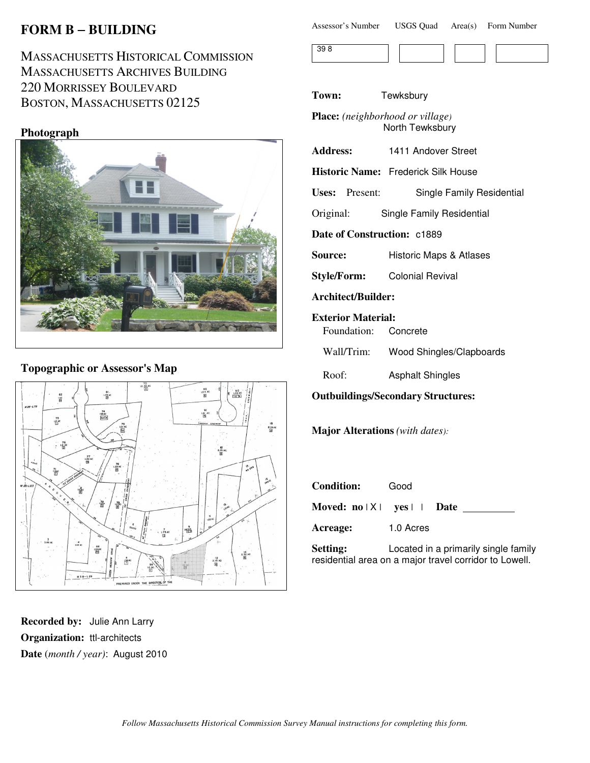# **FORM B** − **BUILDING**

# MASSACHUSETTS HISTORICAL COMMISSION MASSACHUSETTS ARCHIVES BUILDING 220 MORRISSEY BOULEVARD BOSTON, MASSACHUSETTS 02125

#### **Photograph**



### **Topographic or Assessor's Map**



**Recorded by:** Julie Ann Larry **Organization:** ttl-architects **Date** (*month / year)*: August 2010

| Assessor's Number | <b>USGS Quad</b> | Area(s) | Form Number |
|-------------------|------------------|---------|-------------|
|-------------------|------------------|---------|-------------|



**Town:** Tewksbury

**Place:** *(neighborhood or village)* North Tewksbury

| <b>Address:</b> | 1411 Andover Street |
|-----------------|---------------------|
|-----------------|---------------------|

**Historic Name:** Frederick Silk House

**Uses:** Present: Single Family Residential

Original: Single Family Residential

**Date of Construction:** c1889

**Source: Historic Maps & Atlases** 

**Style/Form:** Colonial Revival

**Architect/Builder:**

**Exterior Material:**

Foundation: Concrete

Wall/Trim: Wood Shingles/Clapboards

Roof: Asphalt Shingles

**Outbuildings/Secondary Structures:**

**Major Alterations** *(with dates):*

| <b>Condition:</b>         | Good                                       |  |
|---------------------------|--------------------------------------------|--|
|                           | Moved: $no \mid X \mid yes \mid \mid$ Date |  |
| Acreage:                  | 1.0 Acres                                  |  |
| $_{\alpha + \text{time}}$ | Located in a primarily cinale fam          |  |

**Setting:** Located in a primarily single family residential area on a major travel corridor to Lowell.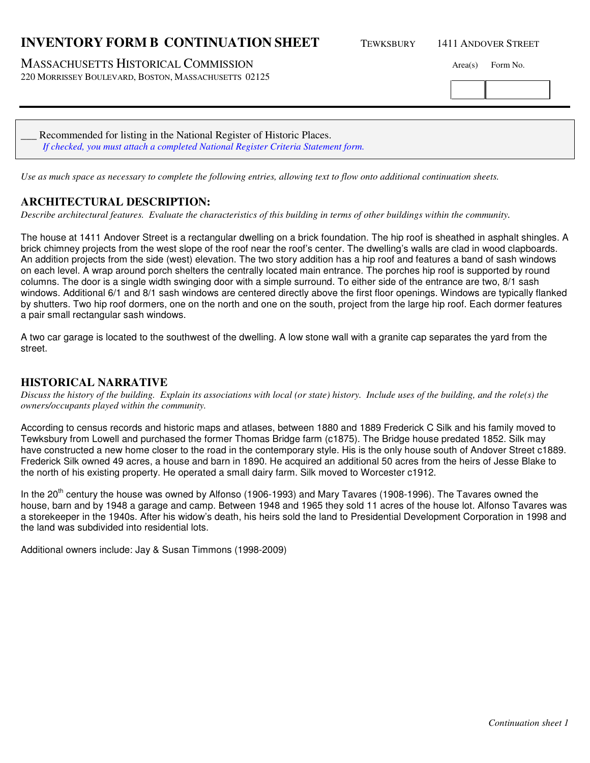## **INVENTORY FORM B CONTINUATION SHEET** TEWKSBURY 1411 ANDOVER STREET

MASSACHUSETTS HISTORICAL COMMISSION Area(s) Form No.

220 MORRISSEY BOULEVARD, BOSTON, MASSACHUSETTS 02125

Recommended for listing in the National Register of Historic Places. *If checked, you must attach a completed National Register Criteria Statement form.*

*Use as much space as necessary to complete the following entries, allowing text to flow onto additional continuation sheets.* 

## **ARCHITECTURAL DESCRIPTION:**

*Describe architectural features. Evaluate the characteristics of this building in terms of other buildings within the community.*

The house at 1411 Andover Street is a rectangular dwelling on a brick foundation. The hip roof is sheathed in asphalt shingles. A brick chimney projects from the west slope of the roof near the roof's center. The dwelling's walls are clad in wood clapboards. An addition projects from the side (west) elevation. The two story addition has a hip roof and features a band of sash windows on each level. A wrap around porch shelters the centrally located main entrance. The porches hip roof is supported by round columns. The door is a single width swinging door with a simple surround. To either side of the entrance are two, 8/1 sash windows. Additional 6/1 and 8/1 sash windows are centered directly above the first floor openings. Windows are typically flanked by shutters. Two hip roof dormers, one on the north and one on the south, project from the large hip roof. Each dormer features a pair small rectangular sash windows.

A two car garage is located to the southwest of the dwelling. A low stone wall with a granite cap separates the yard from the street.

### **HISTORICAL NARRATIVE**

*Discuss the history of the building. Explain its associations with local (or state) history. Include uses of the building, and the role(s) the owners/occupants played within the community.*

According to census records and historic maps and atlases, between 1880 and 1889 Frederick C Silk and his family moved to Tewksbury from Lowell and purchased the former Thomas Bridge farm (c1875). The Bridge house predated 1852. Silk may have constructed a new home closer to the road in the contemporary style. His is the only house south of Andover Street c1889. Frederick Silk owned 49 acres, a house and barn in 1890. He acquired an additional 50 acres from the heirs of Jesse Blake to the north of his existing property. He operated a small dairy farm. Silk moved to Worcester c1912.

In the  $20^{th}$  century the house was owned by Alfonso (1906-1993) and Mary Tavares (1908-1996). The Tavares owned the house, barn and by 1948 a garage and camp. Between 1948 and 1965 they sold 11 acres of the house lot. Alfonso Tavares was a storekeeper in the 1940s. After his widow's death, his heirs sold the land to Presidential Development Corporation in 1998 and the land was subdivided into residential lots.

Additional owners include: Jay & Susan Timmons (1998-2009)